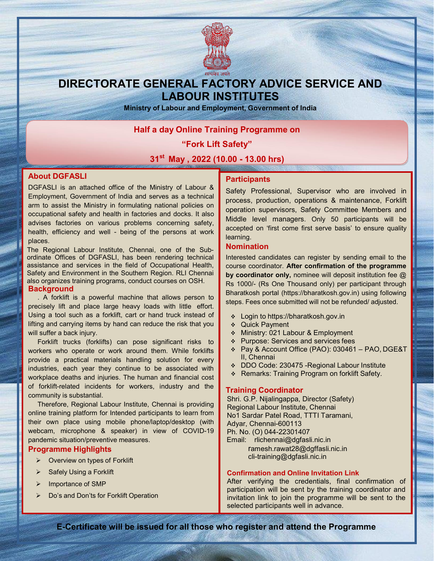

## DIRECTORATE GENERAL FACTORY ADVICE SERVICE AND LABOUR INSTITUTES

Ministry of Labour and Employment, Government of India

### Half a day Online Training Programme on

"Fork Lift Safety"

31<sup>st</sup> May, 2022 (10.00 - 13.00 hrs)

#### About DGFASLI

DGFASLI is an attached office of the Ministry of Labour & Employment, Government of India and serves as a technical arm to assist the Ministry in formulating national policies on occupational safety and health in factories and docks. It also advises factories on various problems concerning safety, health, efficiency and well - being of the persons at work places.

The Regional Labour Institute, Chennai, one of the Subordinate Offices of DGFASLI, has been rendering technical assistance and services in the field of Occupational Health, Safety and Environment in the Southern Region. RLI Chennai also organizes training programs, conduct courses on OSH. **Background** 

. A forklift is a powerful machine that allows person to precisely lift and place large heavy loads with little effort. Using a tool such as a forklift, cart or hand truck instead of lifting and carrying items by hand can reduce the risk that you will suffer a back injury.

Forklift trucks (forklifts) can pose significant risks to workers who operate or work around them. While forklifts provide a practical materials handling solution for every industries, each year they continue to be associated with workplace deaths and injuries. The human and financial cost of forklift-related incidents for workers, industry and the community is substantial.

Therefore, Regional Labour Institute, Chennai is providing online training platform for Intended participants to learn from their own place using mobile phone/laptop/desktop (with webcam, microphone & speaker) in view of COVID-19 pandemic situation/preventive measures.

#### Programme Highlights

- $\triangleright$  Overview on types of Forklift
- Safely Using a Forklift
- $\triangleright$  Importance of SMP
- Do's and Don'ts for Forklift Operation

#### **Participants**

Safety Professional, Supervisor who are involved in process, production, operations & maintenance, Forklift operation supervisors, Safety Committee Members and Middle level managers. Only 50 participants will be accepted on 'first come first serve basis' to ensure quality learning.

#### Nomination

Interested candidates can register by sending email to the course coordinator. After confirmation of the programme by coordinator only, nominee will deposit institution fee @ Rs 1000/- (Rs One Thousand only) per participant through Bharatkosh portal (https://bharatkosh.gov.in) using following steps. Fees once submitted will not be refunded/ adjusted.

- Login to https://bharatkosh.gov.in
- Quick Payment
- Ministry: 021 Labour & Employment
- ❖ Purpose: Services and services fees
- Pay & Account Office (PAO): 030461 PAO, DGE&T II, Chennai
- DDO Code: 230475 -Regional Labour Institute
- Remarks: Training Program on forklift Safety.

#### Training Coordinator

Shri. G.P. Nijalingappa, Director (Safety) Regional Labour Institute, Chennai No1 Sardar Patel Road, TTTI Taramani, Adyar, Chennai-600113 Ph. No. (O) 044-22301407 Email: rlichennai@dgfasli.nic.in ramesh.rawat28@dgffasli.nic.in

cli-training@dgfasli.nic.in

#### Confirmation and Online Invitation Link

After verifying the credentials, final confirmation of participation will be sent by the training coordinator and invitation link to join the programme will be sent to the selected participants well in advance.

E-Certificate will be issued for all those who register and attend the Programme